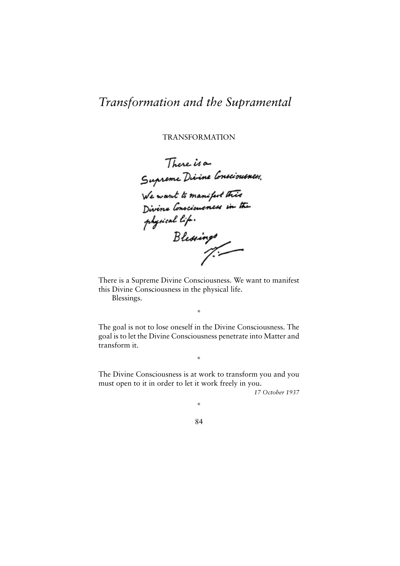TRANSFORMATION

There is a<br>Supreme Divine *Consciousness*, We want to manifert this<br>Divine Consciousness in the physical life.<br>Blessings

There is a Supreme Divine Consciousness. We want to manifest this Divine Consciousness in the physical life.

\*

Blessings.

The goal is not to lose oneself in the Divine Consciousness. The goal is to let the Divine Consciousness penetrate into Matter and transform it.

\*

The Divine Consciousness is at work to transform you and you must open to it in order to let it work freely in you.

*17 October 1937*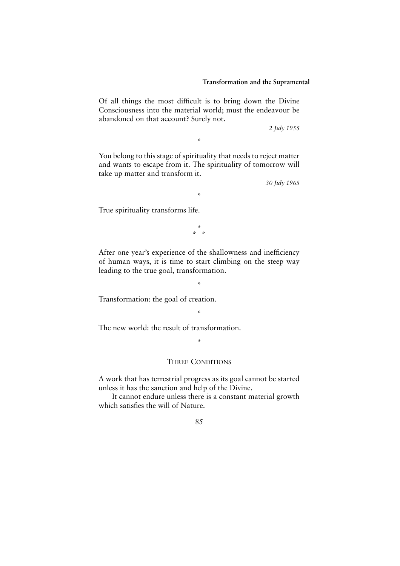Of all things the most difficult is to bring down the Divine Consciousness into the material world; must the endeavour be abandoned on that account? Surely not.

*2 July 1955*

You belong to this stage of spirituality that needs to reject matter and wants to escape from it. The spirituality of tomorrow will take up matter and transform it.

\*

\*

*30 July 1965*

True spirituality transforms life.

\* \* \*

After one year's experience of the shallowness and inefficiency of human ways, it is time to start climbing on the steep way leading to the true goal, transformation.

\*

\*

Transformation: the goal of creation.

The new world: the result of transformation.

\*

# THREE CONDITIONS

A work that has terrestrial progress as its goal cannot be started unless it has the sanction and help of the Divine.

It cannot endure unless there is a constant material growth which satisfies the will of Nature.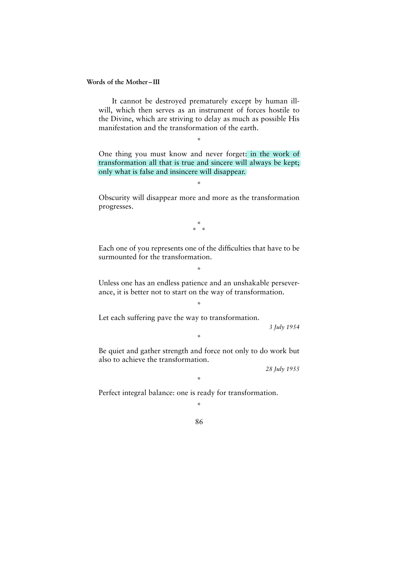It cannot be destroyed prematurely except by human illwill, which then serves as an instrument of forces hostile to the Divine, which are striving to delay as much as possible His manifestation and the transformation of the earth.

\* One thing you must know and never forget: in the work of transformation all that is true and sincere will always be kept; only what is false and insincere will disappear.

\*

Obscurity will disappear more and more as the transformation progresses.

> \* \* \*

Each one of you represents one of the difficulties that have to be surmounted for the transformation.

\*

Unless one has an endless patience and an unshakable perseverance, it is better not to start on the way of transformation.

\*

Let each suffering pave the way to transformation.

*3 July 1954*

Be quiet and gather strength and force not only to do work but also to achieve the transformation.

\*

*28 July 1955*

\*

Perfect integral balance: one is ready for transformation.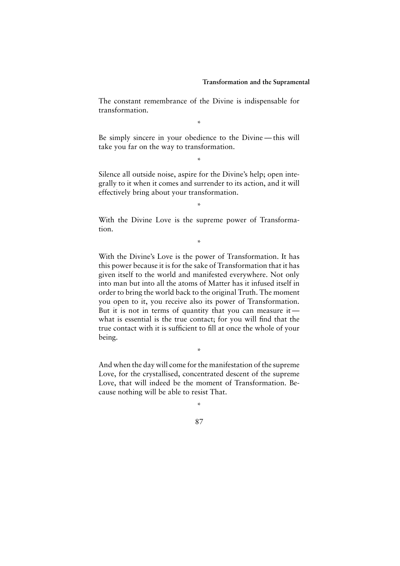The constant remembrance of the Divine is indispensable for transformation.

\*

Be simply sincere in your obedience to the Divine — this will take you far on the way to transformation.

\*

Silence all outside noise, aspire for the Divine's help; open integrally to it when it comes and surrender to its action, and it will effectively bring about your transformation.

\*

With the Divine Love is the supreme power of Transformation.

\*

With the Divine's Love is the power of Transformation. It has this power because it is for the sake of Transformation that it has given itself to the world and manifested everywhere. Not only into man but into all the atoms of Matter has it infused itself in order to bring the world back to the original Truth. The moment you open to it, you receive also its power of Transformation. But it is not in terms of quantity that you can measure it what is essential is the true contact; for you will find that the true contact with it is sufficient to fill at once the whole of your being.

And when the day will come for the manifestation of the supreme Love, for the crystallised, concentrated descent of the supreme Love, that will indeed be the moment of Transformation. Because nothing will be able to resist That.

\*

87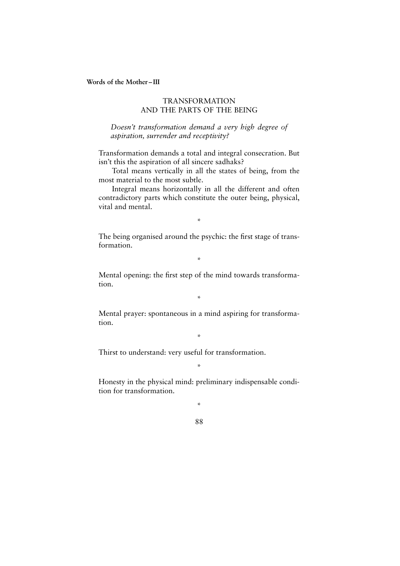# TRANSFORMATION AND THE PARTS OF THE BEING

*Doesn't transformation demand a very high degree of aspiration, surrender and receptivity?*

Transformation demands a total and integral consecration. But isn't this the aspiration of all sincere sadhaks?

Total means vertically in all the states of being, from the most material to the most subtle.

Integral means horizontally in all the different and often contradictory parts which constitute the outer being, physical, vital and mental.

\*

The being organised around the psychic: the first stage of transformation.

\*

Mental opening: the first step of the mind towards transformation.

\*

Mental prayer: spontaneous in a mind aspiring for transformation.

\*

Thirst to understand: very useful for transformation.

\*

Honesty in the physical mind: preliminary indispensable condition for transformation.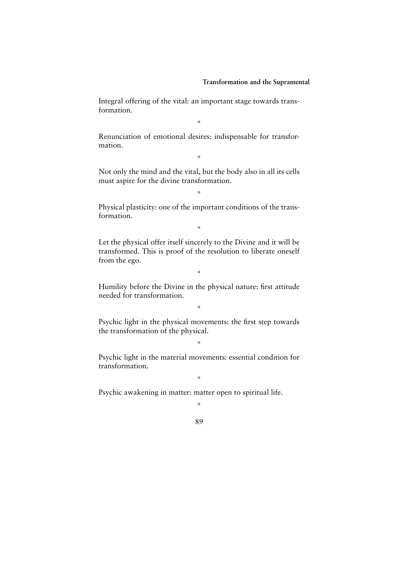Integral offering of the vital: an important stage towards transformation.

 $\ddot{\phantom{a}}$ 

Renunciation of emotional desires: indispensable for transformation.

\*

Not only the mind and the vital, but the body also in all its cells must aspire for the divine transformation.

\*

Physical plasticity: one of the important conditions of the transformation.

\*

Let the physical offer itself sincerely to the Divine and it will be transformed. This is proof of the resolution to liberate oneself from the ego.

\*

Humility before the Divine in the physical nature: first attitude needed for transformation.

\*

Psychic light in the physical movements: the first step towards the transformation of the physical.

\*

Psychic light in the material movements: essential condition for transformation.

\*

Psychic awakening in matter: matter open to spiritual life.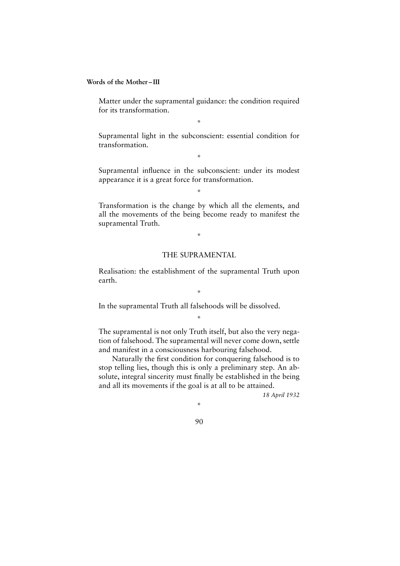Matter under the supramental guidance: the condition required for its transformation.

\*

Supramental light in the subconscient: essential condition for transformation.

\*

Supramental influence in the subconscient: under its modest appearance it is a great force for transformation.

\*

Transformation is the change by which all the elements, and all the movements of the being become ready to manifest the supramental Truth.

\*

### THE SUPRAMENTAL

Realisation: the establishment of the supramental Truth upon earth.

\*

In the supramental Truth all falsehoods will be dissolved.

The supramental is not only Truth itself, but also the very negation of falsehood. The supramental will never come down, settle and manifest in a consciousness harbouring falsehood.

\*

Naturally the first condition for conquering falsehood is to stop telling lies, though this is only a preliminary step. An absolute, integral sincerity must finally be established in the being and all its movements if the goal is at all to be attained.

*18 April 1932*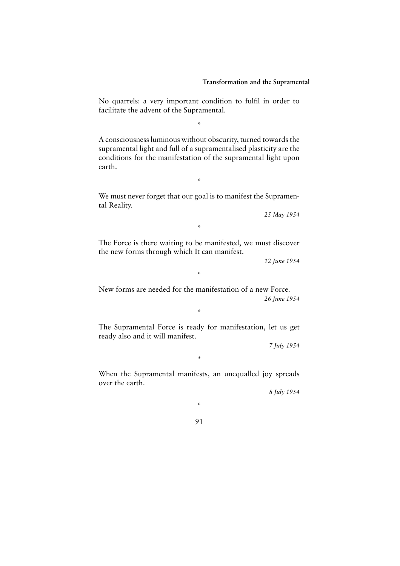No quarrels: a very important condition to fulfil in order to facilitate the advent of the Supramental.

\*

A consciousness luminous without obscurity, turned towards the supramental light and full of a supramentalised plasticity are the conditions for the manifestation of the supramental light upon earth.

\*

We must never forget that our goal is to manifest the Supramental Reality.

*25 May 1954*

\*

The Force is there waiting to be manifested, we must discover the new forms through which It can manifest.

*12 June 1954*

\*

New forms are needed for the manifestation of a new Force. *26 June 1954*

\*

The Supramental Force is ready for manifestation, let us get ready also and it will manifest.

*7 July 1954*

When the Supramental manifests, an unequalled joy spreads over the earth.

\*

*8 July 1954*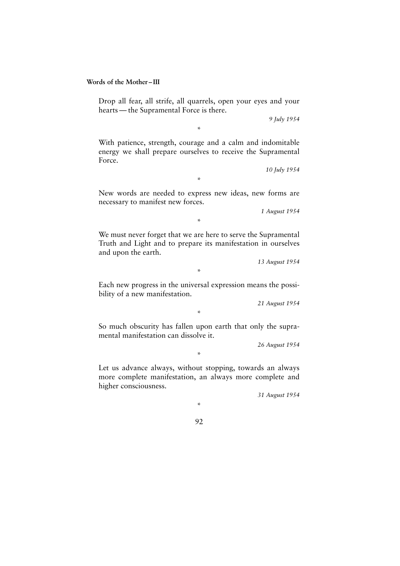Drop all fear, all strife, all quarrels, open your eyes and your hearts — the Supramental Force is there.

*9 July 1954*

\*

With patience, strength, courage and a calm and indomitable energy we shall prepare ourselves to receive the Supramental Force.

*10 July 1954*

New words are needed to express new ideas, new forms are necessary to manifest new forces.

\*

*1 August 1954*

 $\mathbf{v}_i$ 

We must never forget that we are here to serve the Supramental Truth and Light and to prepare its manifestation in ourselves and upon the earth.

*13 August 1954*

\*

Each new progress in the universal expression means the possibility of a new manifestation.

\*

*21 August 1954*

So much obscurity has fallen upon earth that only the supramental manifestation can dissolve it.

*26 August 1954*

\*

Let us advance always, without stopping, towards an always more complete manifestation, an always more complete and higher consciousness.

*31 August 1954*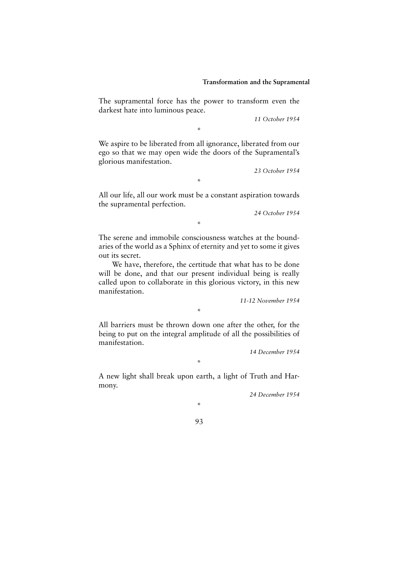The supramental force has the power to transform even the darkest hate into luminous peace.

*11 October 1954*

 $\mathbf{v}_i$ 

We aspire to be liberated from all ignorance, liberated from our ego so that we may open wide the doors of the Supramental's glorious manifestation.

*23 October 1954*

All our life, all our work must be a constant aspiration towards the supramental perfection.

\*

*24 October 1954*

\*

The serene and immobile consciousness watches at the boundaries of the world as a Sphinx of eternity and yet to some it gives out its secret.

We have, therefore, the certitude that what has to be done will be done, and that our present individual being is really called upon to collaborate in this glorious victory, in this new manifestation.

*11-12 November 1954*

All barriers must be thrown down one after the other, for the being to put on the integral amplitude of all the possibilities of manifestation.

\*

*14 December 1954*

\*

A new light shall break upon earth, a light of Truth and Harmony.

*24 December 1954*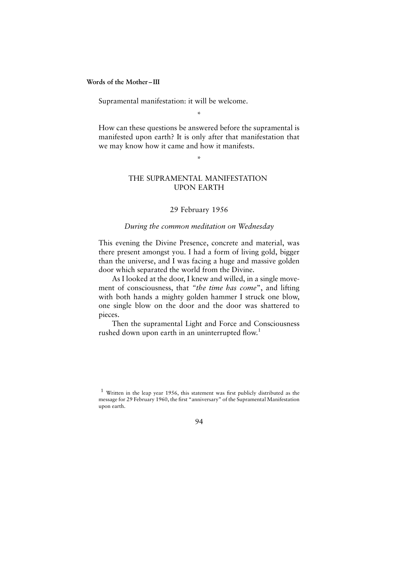Supramental manifestation: it will be welcome.

\*

How can these questions be answered before the supramental is manifested upon earth? It is only after that manifestation that we may know how it came and how it manifests.

\*

# THE SUPRAMENTAL MANIFESTATION UPON EARTH

# 29 February 1956

# *During the common meditation on Wednesday*

This evening the Divine Presence, concrete and material, was there present amongst you. I had a form of living gold, bigger than the universe, and I was facing a huge and massive golden door which separated the world from the Divine.

As I looked at the door, I knew and willed, in a single movement of consciousness, that *"the time has come*", and lifting with both hands a mighty golden hammer I struck one blow, one single blow on the door and the door was shattered to pieces.

Then the supramental Light and Force and Consciousness rushed down upon earth in an uninterrupted flow.<sup>1</sup>

<sup>&</sup>lt;sup>1</sup> Written in the leap year 1956, this statement was first publicly distributed as the message for 29 February 1960, the first "anniversary" of the Supramental Manifestation upon earth.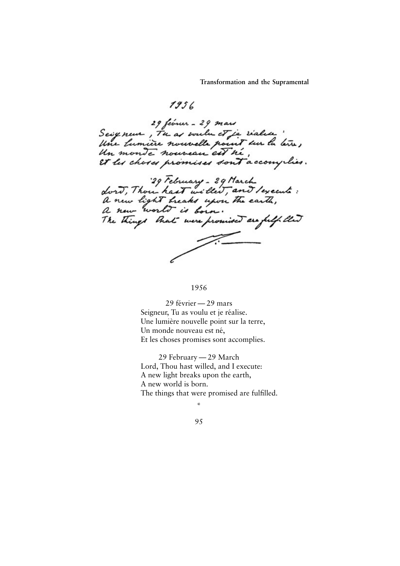$1956$ 29 février - 29 mars Seigneur, Tu as voulu et ja réalise.<br>Une lumière nouvelle point sur la leña,<br>Un monte nouveau est né, It les choses promises sont accomplies. 29 February - 29 March<br>2007, Thou hast willed, and Iexecute :<br>2 new light breaks upon the earth, The Things that were promised are fulf that

1956

 $29$  février  $-29$  mars Seigneur, Tu as voulu et je réalise. Une lumière nouvelle point sur la terre, Un monde nouveau est né, Et les choses promises sont accomplies.

29 February — 29 March Lord, Thou hast willed, and I execute: A new light breaks upon the earth, A new world is born. The things that were promised are fulfilled.

95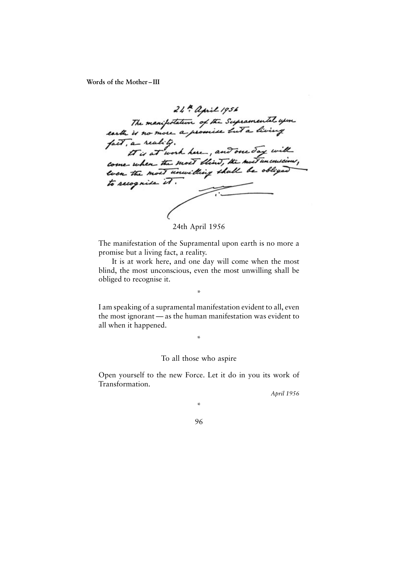24. april 1956<br>The manifestation of the Supramental upon fact, a reality. It is and one day will come when the most client, the most unconscious, loome when me muilling shall be obliged to recognize it.

24th April 1956

The manifestation of the Supramental upon earth is no more a promise but a living fact, a reality.

It is at work here, and one day will come when the most blind, the most unconscious, even the most unwilling shall be obliged to recognise it.

\*

I am speaking of a supramental manifestation evident to all, even the most ignorant — as the human manifestation was evident to all when it happened.

To all those who aspire

\*

Open yourself to the new Force. Let it do in you its work of Transformation.

*April 1956*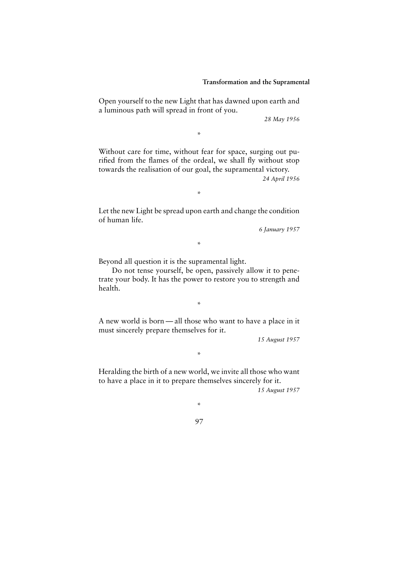Open yourself to the new Light that has dawned upon earth and a luminous path will spread in front of you.

*28 May 1956*

\*

Without care for time, without fear for space, surging out purified from the flames of the ordeal, we shall fly without stop towards the realisation of our goal, the supramental victory.

*24 April 1956*

\*

Let the new Light be spread upon earth and change the condition of human life.

\*

*6 January 1957*

Beyond all question it is the supramental light.

Do not tense yourself, be open, passively allow it to penetrate your body. It has the power to restore you to strength and health.

\*

A new world is born — all those who want to have a place in it must sincerely prepare themselves for it.

*15 August 1957*

\*

Heralding the birth of a new world, we invite all those who want to have a place in it to prepare themselves sincerely for it.

*15 August 1957*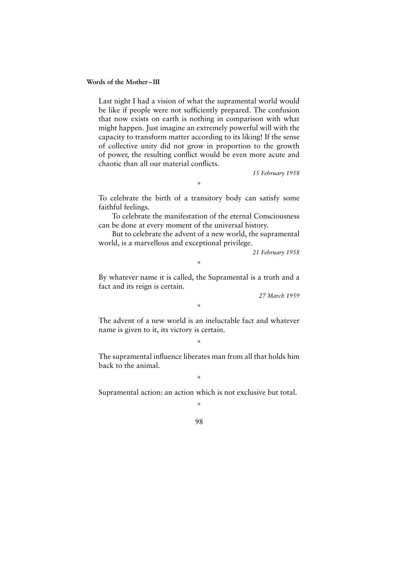Last night I had a vision of what the supramental world would be like if people were not sufficiently prepared. The confusion that now exists on earth is nothing in comparison with what might happen. Just imagine an extremely powerful will with the capacity to transform matter according to its liking! If the sense of collective unity did not grow in proportion to the growth of power, the resulting conflict would be even more acute and chaotic than all our material conflicts.

*15 February 1958*

\*

To celebrate the birth of a transitory body can satisfy some faithful feelings.

To celebrate the manifestation of the eternal Consciousness can be done at every moment of the universal history.

But to celebrate the advent of a new world, the supramental world, is a marvellous and exceptional privilege.

*21 February 1958*

\*

By whatever name it is called, the Supramental is a truth and a fact and its reign is certain.

*27 March 1959*

\*

The advent of a new world is an ineluctable fact and whatever name is given to it, its victory is certain.

\*

The supramental influence liberates man from all that holds him back to the animal.

\*

Supramental action: an action which is not exclusive but total.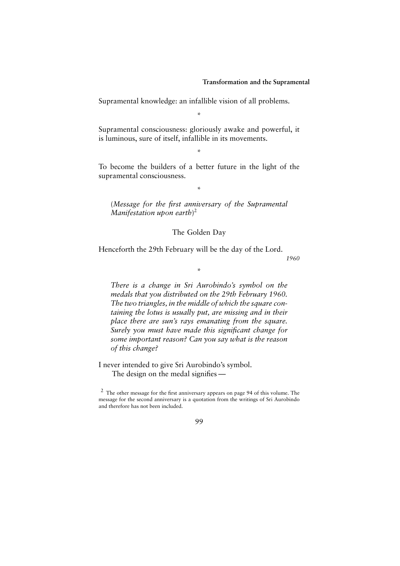Supramental knowledge: an infallible vision of all problems.

\*

Supramental consciousness: gloriously awake and powerful, it is luminous, sure of itself, infallible in its movements.

\*

To become the builders of a better future in the light of the supramental consciousness.

\*

(*Message for the first anniversary of the Supramental Manifestation upon earth*) 2

The Golden Day

Henceforth the 29th February will be the day of the Lord.

*1960*

\*

*There is a change in Sri Aurobindo's symbol on the medals that you distributed on the 29th February 1960. The two triangles, in the middle of which the square containing the lotus is usually put, are missing and in their place there are sun's rays emanating from the square. Surely you must have made this significant change for some important reason? Can you say what is the reason of this change?*

I never intended to give Sri Aurobindo's symbol. The design on the medal signifies —

 $<sup>2</sup>$  The other message for the first anniversary appears on page 94 of this volume. The</sup> message for the second anniversary is a quotation from the writings of Sri Aurobindo and therefore has not been included.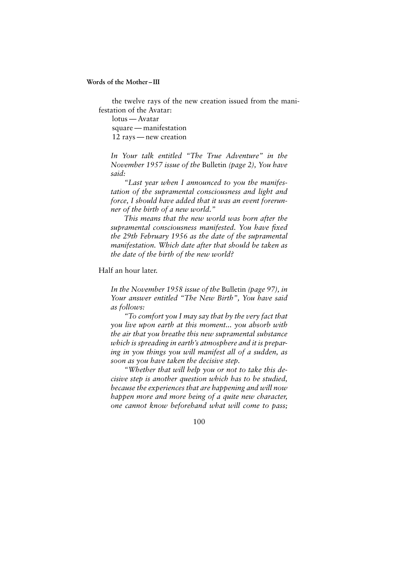the twelve rays of the new creation issued from the manifestation of the Avatar:

lotus — Avatar square — manifestation 12 rays — new creation

*In Your talk entitled "The True Adventure" in the November 1957 issue of the* Bulletin *(page 2), You have said:*

*"Last year when I announced to you the manifestation of the supramental consciousness and light and force, I should have added that it was an event forerunner of the birth of a new world."*

*This means that the new world was born after the supramental consciousness manifested. You have fixed the 29th February 1956 as the date of the supramental manifestation. Which date after that should be taken as the date of the birth of the new world?*

Half an hour later.

*In the November 1958 issue of the* Bulletin *(page 97), in Your answer entitled "The New Birth", You have said as follows:*

*"To comfort you I may say that by the very fact that you live upon earth at this moment... you absorb with the air that you breathe this new supramental substance which is spreading in earth's atmosphere and it is preparing in you things you will manifest all of a sudden, as soon as you have taken the decisive step.*

*"Whether that will help you or not to take this decisive step is another question which has to be studied, because the experiences that are happening and will now happen more and more being of a quite new character, one cannot know beforehand what will come to pass;*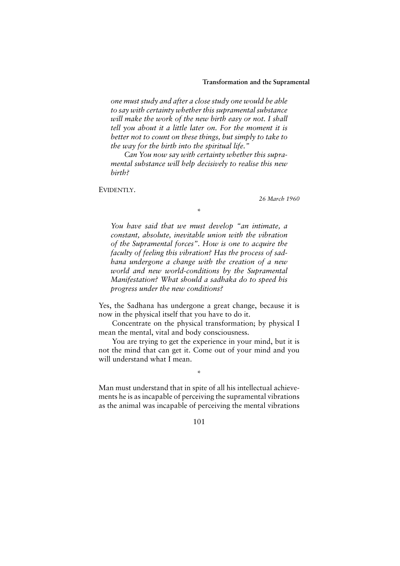*one must study and after a close study one would be able to say with certainty whether this supramental substance will make the work of the new birth easy or not. I shall tell you about it a little later on. For the moment it is better not to count on these things, but simply to take to the way for the birth into the spiritual life."*

*Can You now say with certainty whether this supramental substance will help decisively to realise this new birth?*

\*

EVIDENTLY.

*26 March 1960*

*You have said that we must develop "an intimate, a constant, absolute, inevitable union with the vibration of the Supramental forces". How is one to acquire the faculty of feeling this vibration? Has the process of sadhana undergone a change with the creation of a new world and new world-conditions by the Supramental Manifestation? What should a sadhaka do to speed his progress under the new conditions?*

Yes, the Sadhana has undergone a great change, because it is now in the physical itself that you have to do it.

Concentrate on the physical transformation; by physical I mean the mental, vital and body consciousness.

You are trying to get the experience in your mind, but it is not the mind that can get it. Come out of your mind and you will understand what I mean.

\*

Man must understand that in spite of all his intellectual achievements he is as incapable of perceiving the supramental vibrations as the animal was incapable of perceiving the mental vibrations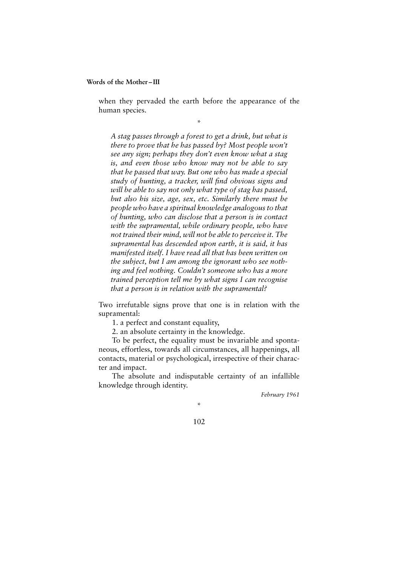when they pervaded the earth before the appearance of the human species.

\*

*A stag passes through a forest to get a drink, but what is there to prove that he has passed by? Most people won't see any sign; perhaps they don't even know what a stag is, and even those who know may not be able to say that he passed that way. But one who has made a special study of hunting, a tracker, will find obvious signs and will be able to say not only what type of stag has passed, but also his size, age, sex, etc. Similarly there must be people who have a spiritual knowledge analogous to that of hunting, who can disclose that a person is in contact with the supramental, while ordinary people, who have not trained their mind, will not be able to perceive it. The supramental has descended upon earth, it is said, it has manifested itself. I have read all that has been written on the subject, but I am among the ignorant who see nothing and feel nothing. Couldn't someone who has a more trained perception tell me by what signs I can recognise that a person is in relation with the supramental?*

Two irrefutable signs prove that one is in relation with the supramental:

1. a perfect and constant equality,

2. an absolute certainty in the knowledge.

To be perfect, the equality must be invariable and spontaneous, effortless, towards all circumstances, all happenings, all contacts, material or psychological, irrespective of their character and impact.

The absolute and indisputable certainty of an infallible knowledge through identity.

*February 1961*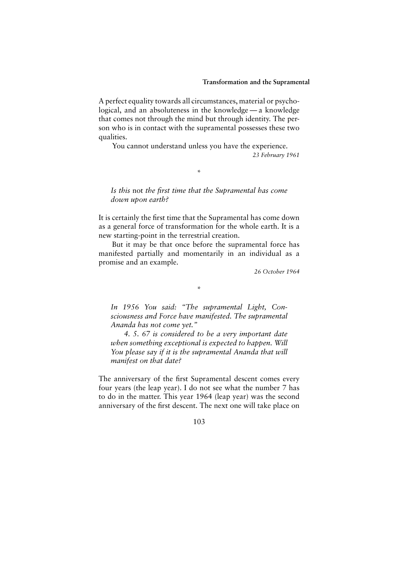A perfect equality towards all circumstances, material or psychological, and an absoluteness in the knowledge — a knowledge that comes not through the mind but through identity. The person who is in contact with the supramental possesses these two qualities.

You cannot understand unless you have the experience.

*23 February 1961*

*Is this* not *the first time that the Supramental has come down upon earth?*

\*

It is certainly the first time that the Supramental has come down as a general force of transformation for the whole earth. It is a new starting-point in the terrestrial creation.

But it may be that once before the supramental force has manifested partially and momentarily in an individual as a promise and an example.

*26 October 1964*

*In 1956 You said: "The supramental Light, Consciousness and Force have manifested. The supramental Ananda has not come yet."*

\*

*4. 5. 67 is considered to be a very important date when something exceptional is expected to happen. Will You please say if it is the supramental Ananda that will manifest on that date?*

The anniversary of the first Supramental descent comes every four years (the leap year). I do not see what the number 7 has to do in the matter. This year 1964 (leap year) was the second anniversary of the first descent. The next one will take place on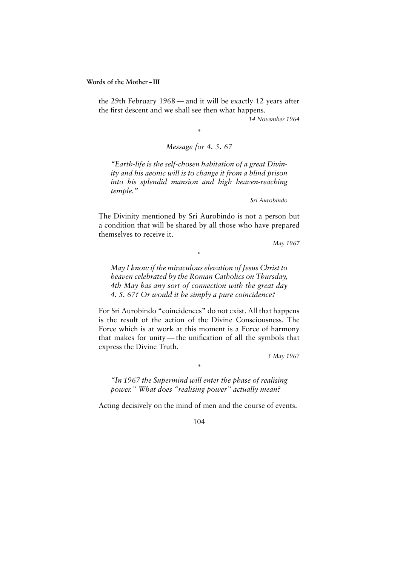the 29th February 1968 — and it will be exactly 12 years after the first descent and we shall see then what happens.

*14 November 1964*

\*

# *Message for 4. 5. 67*

*"Earth-life is the self-chosen habitation of a great Divinity and his aeonic will is to change it from a blind prison into his splendid mansion and high heaven-reaching temple."*

*Sri Aurobindo*

The Divinity mentioned by Sri Aurobindo is not a person but a condition that will be shared by all those who have prepared themselves to receive it.

\*

*May 1967*

*May I know if the miraculous elevation of Jesus Christ to heaven celebrated by the Roman Catholics on Thursday, 4th May has any sort of connection with the great day 4. 5. 67? Or would it be simply a pure coincidence?*

For Sri Aurobindo "coincidences" do not exist. All that happens is the result of the action of the Divine Consciousness. The Force which is at work at this moment is a Force of harmony that makes for unity — the unification of all the symbols that express the Divine Truth.

*5 May 1967*

*"In 1967 the Supermind will enter the phase of realising power." What does "realising power" actually mean?*

\*

Acting decisively on the mind of men and the course of events.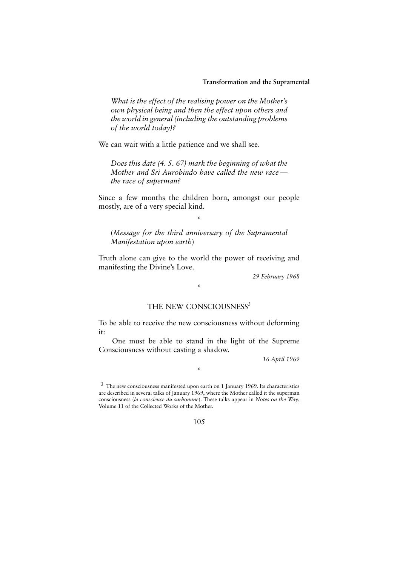*What is the effect of the realising power on the Mother's own physical being and then the effect upon others and the world in general (including the outstanding problems of the world today)?*

We can wait with a little patience and we shall see.

*Does this date (4. 5. 67) mark the beginning of what the Mother and Sri Aurobindo have called the new race the race of superman?*

Since a few months the children born, amongst our people mostly, are of a very special kind.

\*

(*Message for the third anniversary of the Supramental Manifestation upon earth*)

Truth alone can give to the world the power of receiving and manifesting the Divine's Love.

*29 February 1968*

\*

# THE NEW CONSCIOUSNESS<sup>3</sup>

To be able to receive the new consciousness without deforming it:

One must be able to stand in the light of the Supreme Consciousness without casting a shadow.

*16 April 1969*

\*

<sup>3</sup> The new consciousness manifested upon earth on 1 January 1969. Its characteristics are described in several talks of January 1969, where the Mother called it the superman consciousness (*la conscience du surhomme*). These talks appear in *Notes on the Way*, Volume 11 of the Collected Works of the Mother.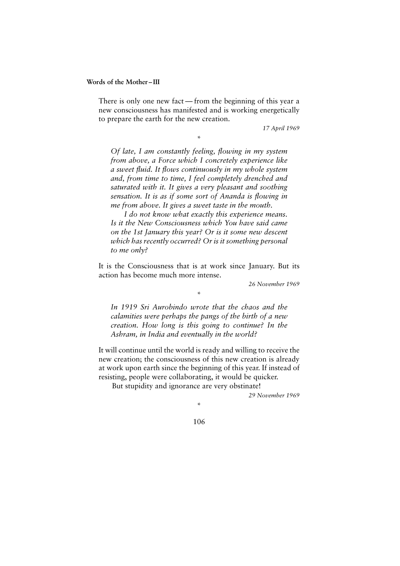There is only one new fact — from the beginning of this year a new consciousness has manifested and is working energetically to prepare the earth for the new creation.

\*

*17 April 1969*

*Of late, I am constantly feeling, flowing in my system from above, a Force which I concretely experience like a sweet fluid. It flows continuously in my whole system and, from time to time, I feel completely drenched and saturated with it. It gives a very pleasant and soothing sensation. It is as if some sort of Ananda is flowing in me from above. It gives a sweet taste in the mouth.*

*I do not know what exactly this experience means. Is it the New Consciousness which You have said came on the 1st January this year? Or is it some new descent which has recently occurred? Or is it something personal to me only?*

It is the Consciousness that is at work since January. But its action has become much more intense.

\*

*26 November 1969*

*In 1919 Sri Aurobindo wrote that the chaos and the calamities were perhaps the pangs of the birth of a new creation. How long is this going to continue? In the Ashram, in India and eventually in the world?*

It will continue until the world is ready and willing to receive the new creation; the consciousness of this new creation is already at work upon earth since the beginning of this year. If instead of resisting, people were collaborating, it would be quicker.

But stupidity and ignorance are very obstinate!

*29 November 1969*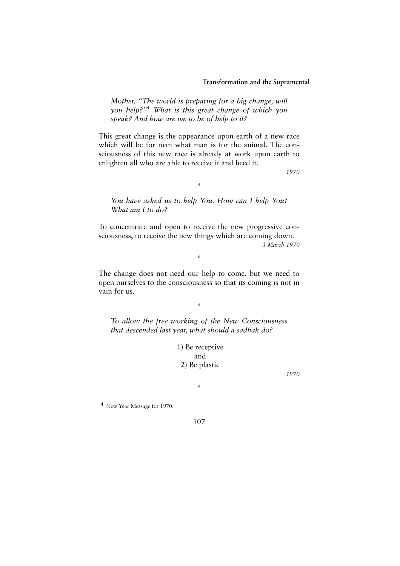*Mother, "The world is preparing for a big change, will you help?"*<sup>4</sup> *What is this great change of which you speak? And how are we to be of help to it?*

This great change is the appearance upon earth of a new race which will be for man what man is for the animal. The consciousness of this new race is already at work upon earth to enlighten all who are able to receive it and heed it.

*1970*

*You have asked us to help You. How can I help You? What am I to do?*

\*

To concentrate and open to receive the new progressive consciousness, to receive the new things which are coming down. *3 March 1970*

\*

The change does not need our help to come, but we need to open ourselves to the consciousness so that its coming is not in vain for us.

*To allow the free working of the New Consciousness that descended last year, what should a sadhak do?*

\*

1) Be receptive and 2) Be plastic

*1970*

\*

<sup>4</sup> New Year Message for 1970.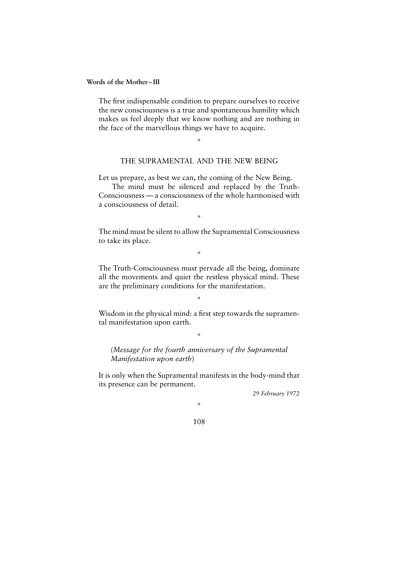The first indispensable condition to prepare ourselves to receive the new consciousness is a true and spontaneous humility which makes us feel deeply that we know nothing and are nothing in the face of the marvellous things we have to acquire.

\*

# THE SUPRAMENTAL AND THE NEW BEING

Let us prepare, as best we can, the coming of the New Being.

The mind must be silenced and replaced by the Truth-Consciousness — a consciousness of the whole harmonised with a consciousness of detail.

\*

The mind must be silent to allow the Supramental Consciousness to take its place.

\*

The Truth-Consciousness must pervade all the being, dominate all the movements and quiet the restless physical mind. These are the preliminary conditions for the manifestation.

\*

Wisdom in the physical mind: a first step towards the supramental manifestation upon earth.

\*

(*Message for the fourth anniversary of the Supramental Manifestation upon earth*)

It is only when the Supramental manifests in the body-mind that its presence can be permanent.

*29 February 1972*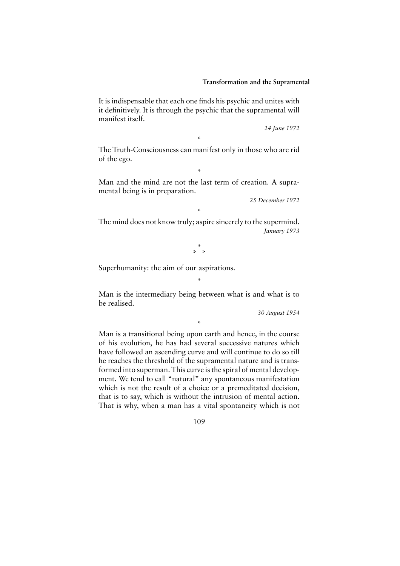It is indispensable that each one finds his psychic and unites with it definitively. It is through the psychic that the supramental will manifest itself.

*24 June 1972*

\*

The Truth-Consciousness can manifest only in those who are rid of the ego.

\*

Man and the mind are not the last term of creation. A supramental being is in preparation.

*25 December 1972*

\*

The mind does not know truly; aspire sincerely to the supermind. *January 1973*

> \* \* \*

Superhumanity: the aim of our aspirations.

\*

Man is the intermediary being between what is and what is to be realised.

\*

*30 August 1954*

Man is a transitional being upon earth and hence, in the course of his evolution, he has had several successive natures which have followed an ascending curve and will continue to do so till he reaches the threshold of the supramental nature and is transformed into superman. This curve is the spiral of mental development. We tend to call "natural" any spontaneous manifestation which is not the result of a choice or a premeditated decision, that is to say, which is without the intrusion of mental action. That is why, when a man has a vital spontaneity which is not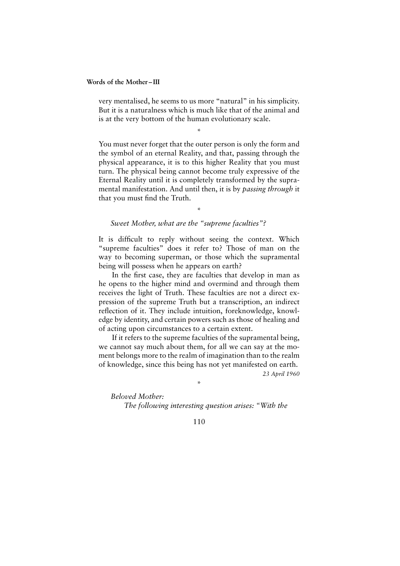very mentalised, he seems to us more "natural" in his simplicity. But it is a naturalness which is much like that of the animal and is at the very bottom of the human evolutionary scale.

\*

You must never forget that the outer person is only the form and the symbol of an eternal Reality, and that, passing through the physical appearance, it is to this higher Reality that you must turn. The physical being cannot become truly expressive of the Eternal Reality until it is completely transformed by the supramental manifestation. And until then, it is by *passing through* it that you must find the Truth.

\*

*Sweet Mother, what are the "supreme faculties"?*

It is difficult to reply without seeing the context. Which "supreme faculties" does it refer to? Those of man on the way to becoming superman, or those which the supramental being will possess when he appears on earth?

In the first case, they are faculties that develop in man as he opens to the higher mind and overmind and through them receives the light of Truth. These faculties are not a direct expression of the supreme Truth but a transcription, an indirect reflection of it. They include intuition, foreknowledge, knowledge by identity, and certain powers such as those of healing and of acting upon circumstances to a certain extent.

If it refers to the supreme faculties of the supramental being, we cannot say much about them, for all we can say at the moment belongs more to the realm of imagination than to the realm of knowledge, since this being has not yet manifested on earth.

*23 April 1960*

*Beloved Mother: The following interesting question arises: "With the*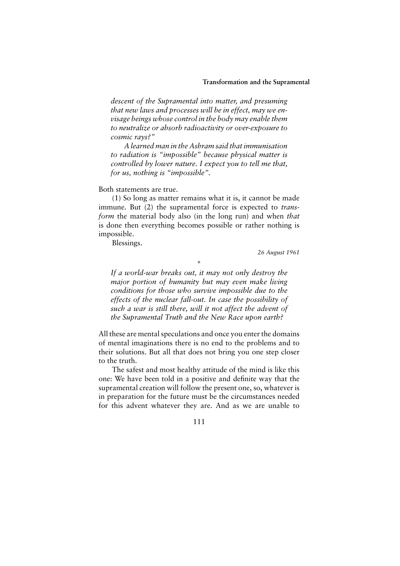*descent of the Supramental into matter, and presuming that new laws and processes will be in effect, may we envisage beings whose control in the body may enable them to neutralize or absorb radioactivity or over-exposure to cosmic rays?"*

*A learned man in the Ashram said that immunisation to radiation is "impossible" because physical matter is controlled by lower nature. I expect you to tell me that, for us, nothing is "impossible".*

Both statements are true.

(1) So long as matter remains what it is, it cannot be made immune. But (2) the supramental force is expected to *transform* the material body also (in the long run) and when *that* is done then everything becomes possible or rather nothing is impossible.

Blessings.

*26 August 1961*

*If a world-war breaks out, it may not only destroy the major portion of humanity but may even make living conditions for those who survive impossible due to the effects of the nuclear fall-out. In case the possibility of such a war is still there, will it not affect the advent of the Supramental Truth and the New Race upon earth?*

\*

All these are mental speculations and once you enter the domains of mental imaginations there is no end to the problems and to their solutions. But all that does not bring you one step closer to the truth.

The safest and most healthy attitude of the mind is like this one: We have been told in a positive and definite way that the supramental creation will follow the present one, so, whatever is in preparation for the future must be the circumstances needed for this advent whatever they are. And as we are unable to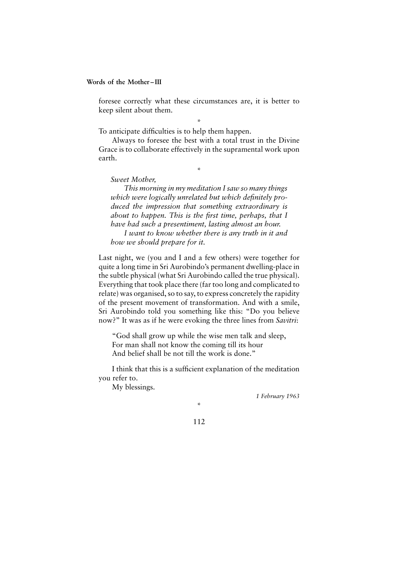foresee correctly what these circumstances are, it is better to keep silent about them.

\*

To anticipate difficulties is to help them happen.

Always to foresee the best with a total trust in the Divine Grace is to collaborate effectively in the supramental work upon earth.

\*

*Sweet Mother,*

*This morning in my meditation I saw so many things which were logically unrelated but which definitely produced the impression that something extraordinary is about to happen. This is the first time, perhaps, that I have had such a presentiment, lasting almost an hour. I want to know whether there is any truth in it and how we should prepare for it.*

Last night, we (you and I and a few others) were together for quite a long time in Sri Aurobindo's permanent dwelling-place in the subtle physical (what Sri Aurobindo called the true physical). Everything that took place there (far too long and complicated to relate) was organised, so to say, to express concretely the rapidity of the present movement of transformation. And with a smile, Sri Aurobindo told you something like this: "Do you believe now?" It was as if he were evoking the three lines from *Savitri*:

"God shall grow up while the wise men talk and sleep, For man shall not know the coming till its hour And belief shall be not till the work is done."

I think that this is a sufficient explanation of the meditation you refer to.

My blessings.

*1 February 1963*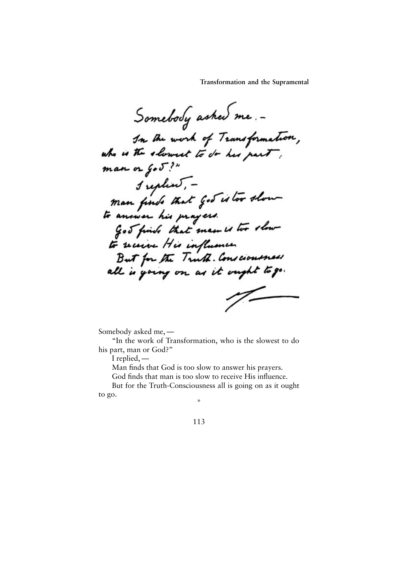Somebody asked me.-In the work of Transformation, who is the slowest to do has part man or  $600$ . I replied, -<br>man finds that God is too slow to answer his prayers. God finds that man is too slow to receive His influence But for the Truth. Consciousness all is young on as it ought to go.

Somebody asked me, —

"In the work of Transformation, who is the slowest to do his part, man or God?"

I replied, —

Man finds that God is too slow to answer his prayers.

God finds that man is too slow to receive His influence.

But for the Truth-Consciousness all is going on as it ought to go. \*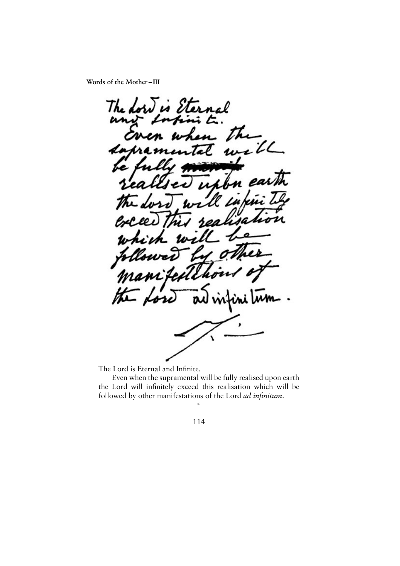$if and$ ᠇.  $_{a}$ 

The Lord is Eternal and Infinite.

Even when the supramental will be fully realised upon earth the Lord will infinitely exceed this realisation which will be followed by other manifestations of the Lord *ad infinitum*.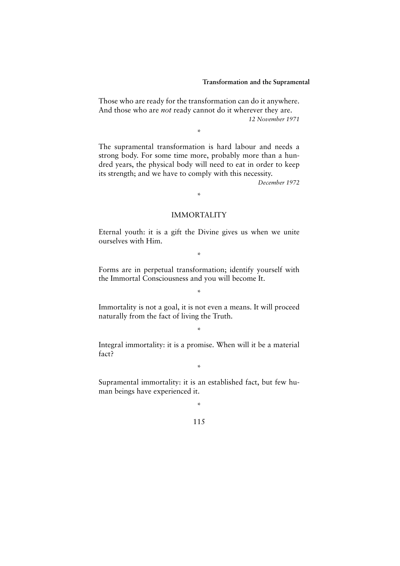Those who are ready for the transformation can do it anywhere. And those who are *not* ready cannot do it wherever they are. *12 November 1971*

\*

The supramental transformation is hard labour and needs a strong body. For some time more, probably more than a hundred years, the physical body will need to eat in order to keep its strength; and we have to comply with this necessity.

*December 1972*

# IMMORTALITY

\*

Eternal youth: it is a gift the Divine gives us when we unite ourselves with Him.

\*

Forms are in perpetual transformation; identify yourself with the Immortal Consciousness and you will become It.

\*

Immortality is not a goal, it is not even a means. It will proceed naturally from the fact of living the Truth.

\*

Integral immortality: it is a promise. When will it be a material fact?

\*

Supramental immortality: it is an established fact, but few human beings have experienced it.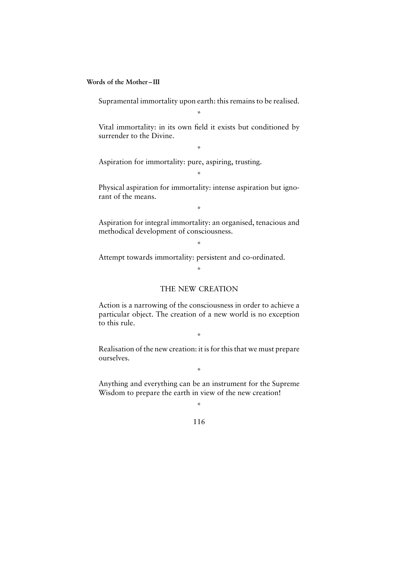Supramental immortality upon earth: this remains to be realised.

\*

Vital immortality: in its own field it exists but conditioned by surrender to the Divine.

\*

Aspiration for immortality: pure, aspiring, trusting.

\*

Physical aspiration for immortality: intense aspiration but ignorant of the means.

\*

Aspiration for integral immortality: an organised, tenacious and methodical development of consciousness.

\*

 $\mathbf{v}_i$ 

Attempt towards immortality: persistent and co-ordinated.

THE NEW CREATION

Action is a narrowing of the consciousness in order to achieve a particular object. The creation of a new world is no exception to this rule.

\*

Realisation of the new creation: it is for this that we must prepare ourselves.

\*

Anything and everything can be an instrument for the Supreme Wisdom to prepare the earth in view of the new creation!